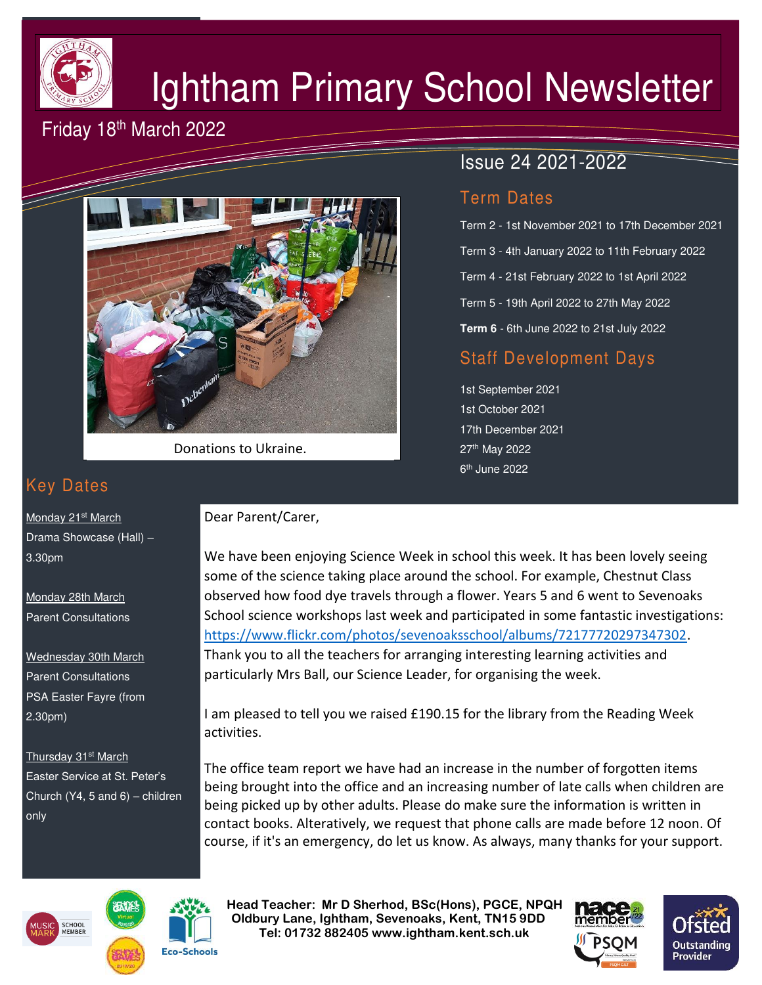

# Ightham Primary School Newsletter

## Friday 18th March 2022



Donations to Ukraine.

# Key Dates

Monday 21<sup>st</sup> March Drama Showcase (Hall) – 3.30pm

Monday 28th March Parent Consultations

Wednesday 30th March Parent Consultations PSA Easter Fayre (from 2.30pm)

Thursday 31<sup>st</sup> March Easter Service at St. Peter's Church (Y4, 5 and 6) – children only

# Term 3 - 4th January 2022 to 11th February 2022

Term Dates

Term 4 - 21st February 2022 to 1st April 2022

Term 2 - 1st November 2021 to 17th December 2021

Term 5 - 19th April 2022 to 27th May 2022

Issue 24 2021-2022

**Term 6** - 6th June 2022 to 21st July 2022

## Staff Development Days

1st September 2021 1st October 2021 17th December 2021 27th May 2022 6<sup>th</sup> June 2022

#### Dear Parent/Carer,

We have been enjoying Science Week in school this week. It has been lovely seeing some of the science taking place around the school. For example, Chestnut Class observed how food dye travels through a flower. Years 5 and 6 went to Sevenoaks School science workshops last week and participated in some fantastic investigations: [https://www.flickr.com/photos/sevenoaksschool/albums/72177720297347302.](https://www.flickr.com/photos/sevenoaksschool/albums/72177720297347302) Thank you to all the teachers for arranging interesting learning activities and particularly Mrs Ball, our Science Leader, for organising the week.

I am pleased to tell you we raised £190.15 for the library from the Reading Week activities.

The office team report we have had an increase in the number of forgotten items being brought into the office and an increasing number of late calls when children are being picked up by other adults. Please do make sure the information is written in contact books. Alteratively, we request that phone calls are made before 12 noon. Of course, if it's an emergency, do let us know. As always, many thanks for your support.





 **Head Teacher: Mr D Sherhod, BSc(Hons), PGCE, NPQH Oldbury Lane, Ightham, Sevenoaks, Kent, TN15 9DD** EXERIGING THE **TELE: 01732 882405 www.ightham.kent.sch.uk**<br>Tel: 01732 882405 www.ightham.kent.sch.uk

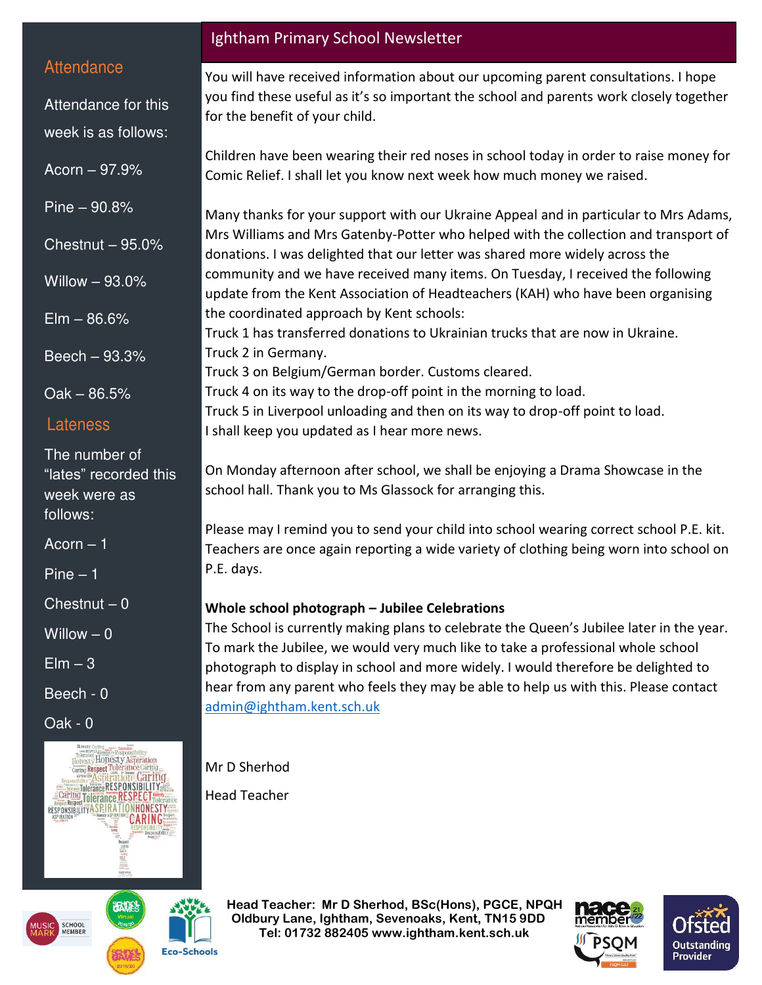#### **Attendance**

Attendance for this week is as follows:

Acorn – 97.9%

Pine – 90.8%

Chestnut – 95.0%

Willow – 93.0%

 $E$ lm – 86.6%

Beech – 93.3%

Oak – 86.5%

#### Lateness

The number of "lates" recorded this week were as follows:

 $A<sub>corr</sub> - 1$ 

Pine – 1

 $Chestnut - 0$ 

Willow  $-0$ 

 $Elm - 3$ 

Beech - 0

Oak - 0



#### Ightham Primary School Newsletter

You will have received information about our upcoming parent consultations. I hope you find these useful as it's so important the school and parents work closely together for the benefit of your child.

Children have been wearing their red noses in school today in order to raise money for Comic Relief. I shall let you know next week how much money we raised.

Many thanks for your support with our Ukraine Appeal and in particular to Mrs Adams, Mrs Williams and Mrs Gatenby-Potter who helped with the collection and transport of donations. I was delighted that our letter was shared more widely across the community and we have received many items. On Tuesday, I received the following update from the Kent Association of Headteachers (KAH) who have been organising the coordinated approach by Kent schools:

Truck 1 has transferred donations to Ukrainian trucks that are now in Ukraine. Truck 2 in Germany.

Truck 3 on Belgium/German border. Customs cleared.

Truck 4 on its way to the drop-off point in the morning to load.

Truck 5 in Liverpool unloading and then on its way to drop-off point to load.

I shall keep you updated as I hear more news.

On Monday afternoon after school, we shall be enjoying a Drama Showcase in the school hall. Thank you to Ms Glassock for arranging this.

Please may I remind you to send your child into school wearing correct school P.E. kit. Teachers are once again reporting a wide variety of clothing being worn into school on P.E. days.

#### **Whole school photograph – Jubilee Celebrations**

The School is currently making plans to celebrate the Queen's Jubilee later in the year. To mark the Jubilee, we would very much like to take a professional whole school photograph to display in school and more widely. I would therefore be delighted to hear from any parent who feels they may be able to help us with this. Please contact [admin@ightham.kent.sch.uk](mailto:admin@ightham.kent.sch.uk)

Mr D Sherhod

Head Teacher

 **Head Teacher: Mr D Sherhod, BSc(Hons), PGCE, NPQH Oldbury Lane, Ightham, Sevenoaks, Kent, TN15 9DD** EXERIGING THE **TELE: 01732 882405 www.ightham.kent.sch.uk**<br>Tel: 01732 882405 www.ightham.kent.sch.uk





**Eco-Schools**